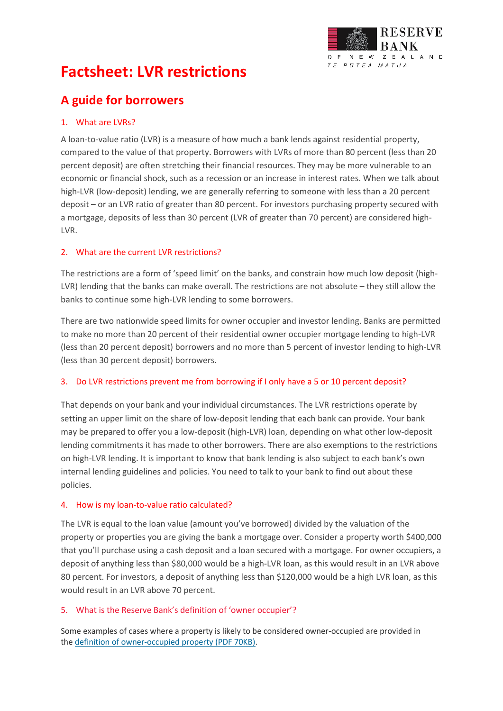

# **Factsheet: LVR restrictions**

# **A guide for borrowers**

#### 1. What are LVRs?

A loan-to-value ratio (LVR) is a measure of how much a bank lends against residential property, compared to the value of that property. Borrowers with LVRs of more than 80 percent (less than 20 percent deposit) are often stretching their financial resources. They may be more vulnerable to an economic or financial shock, such as a recession or an increase in interest rates. When we talk about high-LVR (low-deposit) lending, we are generally referring to someone with less than a 20 percent deposit – or an LVR ratio of greater than 80 percent. For investors purchasing property secured with a mortgage, deposits of less than 30 percent (LVR of greater than 70 percent) are considered high-LVR.

#### 2. What are the current LVR restrictions?

The restrictions are a form of 'speed limit' on the banks, and constrain how much low deposit (high-LVR) lending that the banks can make overall. The restrictions are not absolute – they still allow the banks to continue some high-LVR lending to some borrowers.

There are two nationwide speed limits for owner occupier and investor lending. Banks are permitted to make no more than 20 percent of their residential owner occupier mortgage lending to high-LVR (less than 20 percent deposit) borrowers and no more than 5 percent of investor lending to high-LVR (less than 30 percent deposit) borrowers.

#### 3. Do LVR restrictions prevent me from borrowing if I only have a 5 or 10 percent deposit?

That depends on your bank and your individual circumstances. The LVR restrictions operate by setting an upper limit on the share of low-deposit lending that each bank can provide. Your bank may be prepared to offer you a low-deposit (high-LVR) loan, depending on what other low-deposit lending commitments it has made to other borrowers. There are also exemptions to the restrictions on high-LVR lending. It is important to know that bank lending is also subject to each bank's own internal lending guidelines and policies. You need to talk to your bank to find out about these policies.

#### 4. How is my loan-to-value ratio calculated?

The LVR is equal to the loan value (amount you've borrowed) divided by the valuation of the property or properties you are giving the bank a mortgage over. Consider a property worth \$400,000 that you'll purchase using a cash deposit and a loan secured with a mortgage. For owner occupiers, a deposit of anything less than \$80,000 would be a high-LVR loan, as this would result in an LVR above 80 percent. For investors, a deposit of anything less than \$120,000 would be a high LVR loan, as this would result in an LVR above 70 percent.

#### 5. What is the Reserve Bank's definition of 'owner occupier'?

Some examples of cases where a property is likely to be considered owner-occupied are provided in the [definition of owner-occupied property \(PDF 70KB\).](http://www.rbnz.govt.nz/-/media/ReserveBank/Files/regulation-and-supervision/banks/banking-supervision-handbook/Definition%20of%20owner%20occupied.pdf?la=en)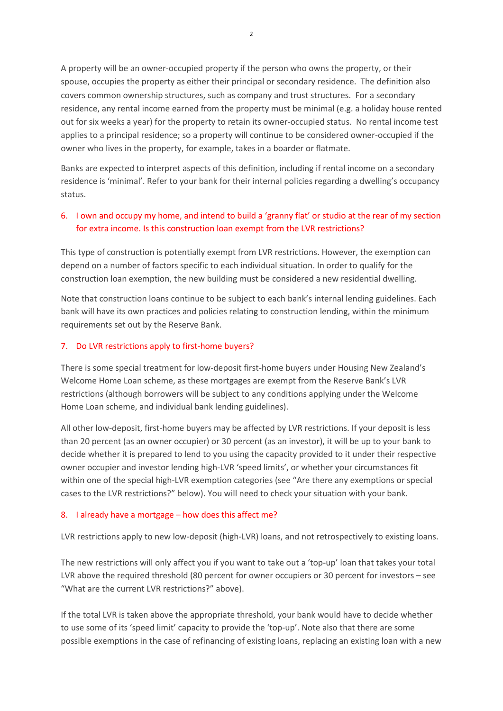A property will be an owner-occupied property if the person who owns the property, or their spouse, occupies the property as either their principal or secondary residence. The definition also covers common ownership structures, such as company and trust structures. For a secondary residence, any rental income earned from the property must be minimal (e.g. a holiday house rented out for six weeks a year) for the property to retain its owner-occupied status. No rental income test applies to a principal residence; so a property will continue to be considered owner-occupied if the owner who lives in the property, for example, takes in a boarder or flatmate.

Banks are expected to interpret aspects of this definition, including if rental income on a secondary residence is 'minimal'. Refer to your bank for their internal policies regarding a dwelling's occupancy status.

# 6. I own and occupy my home, and intend to build a 'granny flat' or studio at the rear of my section for extra income. Is this construction loan exempt from the LVR restrictions?

This type of construction is potentially exempt from LVR restrictions. However, the exemption can depend on a number of factors specific to each individual situation. In order to qualify for the construction loan exemption, the new building must be considered a new residential dwelling.

Note that construction loans continue to be subject to each bank's internal lending guidelines. Each bank will have its own practices and policies relating to construction lending, within the minimum requirements set out by the Reserve Bank.

#### 7. Do LVR restrictions apply to first-home buyers?

There is some special treatment for low-deposit first-home buyers under Housing New Zealand's Welcome Home Loan scheme, as these mortgages are exempt from the Reserve Bank's LVR restrictions (although borrowers will be subject to any conditions applying under the Welcome Home Loan scheme, and individual bank lending guidelines).

All other low-deposit, first-home buyers may be affected by LVR restrictions. If your deposit is less than 20 percent (as an owner occupier) or 30 percent (as an investor), it will be up to your bank to decide whether it is prepared to lend to you using the capacity provided to it under their respective owner occupier and investor lending high-LVR 'speed limits', or whether your circumstances fit within one of the special high-LVR exemption categories (see "Are there any exemptions or special cases to the LVR restrictions?" below). You will need to check your situation with your bank.

#### 8. I already have a mortgage – how does this affect me?

LVR restrictions apply to new low-deposit (high-LVR) loans, and not retrospectively to existing loans.

The new restrictions will only affect you if you want to take out a 'top-up' loan that takes your total LVR above the required threshold (80 percent for owner occupiers or 30 percent for investors – see "What are the current LVR restrictions?" above).

If the total LVR is taken above the appropriate threshold, your bank would have to decide whether to use some of its 'speed limit' capacity to provide the 'top-up'. Note also that there are some possible exemptions in the case of refinancing of existing loans, replacing an existing loan with a new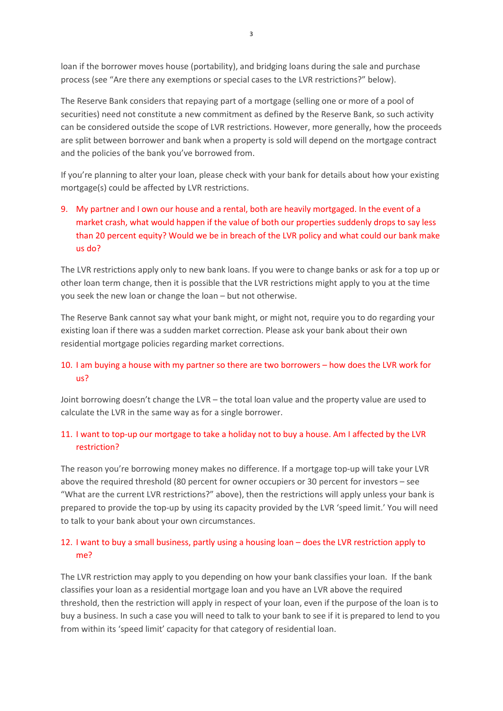loan if the borrower moves house (portability), and bridging loans during the sale and purchase process (see "Are there any exemptions or special cases to the LVR restrictions?" below).

The Reserve Bank considers that repaying part of a mortgage (selling one or more of a pool of securities) need not constitute a new commitment as defined by the Reserve Bank, so such activity can be considered outside the scope of LVR restrictions. However, more generally, how the proceeds are split between borrower and bank when a property is sold will depend on the mortgage contract and the policies of the bank you've borrowed from.

If you're planning to alter your loan, please check with your bank for details about how your existing mortgage(s) could be affected by LVR restrictions.

# 9. My partner and I own our house and a rental, both are heavily mortgaged. In the event of a market crash, what would happen if the value of both our properties suddenly drops to say less than 20 percent equity? Would we be in breach of the LVR policy and what could our bank make us do?

The LVR restrictions apply only to new bank loans. If you were to change banks or ask for a top up or other loan term change, then it is possible that the LVR restrictions might apply to you at the time you seek the new loan or change the loan – but not otherwise.

The Reserve Bank cannot say what your bank might, or might not, require you to do regarding your existing loan if there was a sudden market correction. Please ask your bank about their own residential mortgage policies regarding market corrections.

# 10. I am buying a house with my partner so there are two borrowers – how does the LVR work for us?

Joint borrowing doesn't change the LVR – the total loan value and the property value are used to calculate the LVR in the same way as for a single borrower.

# 11. I want to top-up our mortgage to take a holiday not to buy a house. Am I affected by the LVR restriction?

The reason you're borrowing money makes no difference. If a mortgage top-up will take your LVR above the required threshold (80 percent for owner occupiers or 30 percent for investors – see "What are the current LVR restrictions?" above), then the restrictions will apply unless your bank is prepared to provide the top-up by using its capacity provided by the LVR 'speed limit.' You will need to talk to your bank about your own circumstances.

# 12. I want to buy a small business, partly using a housing loan – does the LVR restriction apply to me?

The LVR restriction may apply to you depending on how your bank classifies your loan. If the bank classifies your loan as a residential mortgage loan and you have an LVR above the required threshold, then the restriction will apply in respect of your loan, even if the purpose of the loan is to buy a business. In such a case you will need to talk to your bank to see if it is prepared to lend to you from within its 'speed limit' capacity for that category of residential loan.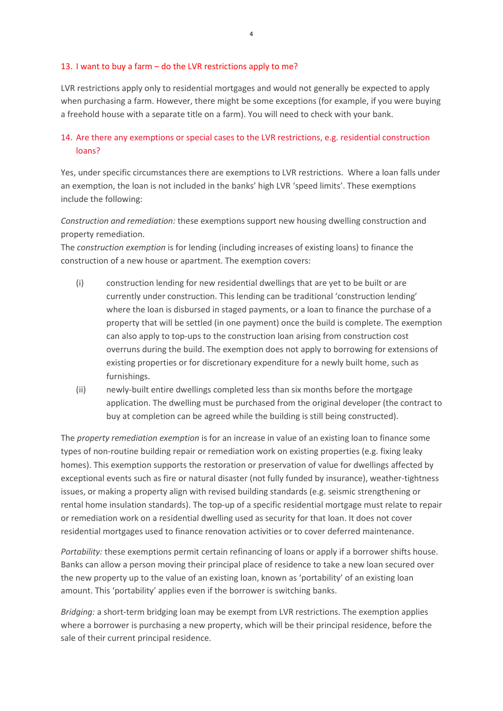#### 13. I want to buy a farm – do the LVR restrictions apply to me?

LVR restrictions apply only to residential mortgages and would not generally be expected to apply when purchasing a farm. However, there might be some exceptions (for example, if you were buying a freehold house with a separate title on a farm). You will need to check with your bank.

#### 14. Are there any exemptions or special cases to the LVR restrictions, e.g. residential construction loans?

Yes, under specific circumstances there are exemptions to LVR restrictions. Where a loan falls under an exemption, the loan is not included in the banks' high LVR 'speed limits'. These exemptions include the following:

*Construction and remediation:* these exemptions support new housing dwelling construction and property remediation.

The *construction exemption* is for lending (including increases of existing loans) to finance the construction of a new house or apartment. The exemption covers:

- (i) construction lending for new residential dwellings that are yet to be built or are currently under construction. This lending can be traditional 'construction lending' where the loan is disbursed in staged payments, or a loan to finance the purchase of a property that will be settled (in one payment) once the build is complete. The exemption can also apply to top-ups to the construction loan arising from construction cost overruns during the build. The exemption does not apply to borrowing for extensions of existing properties or for discretionary expenditure for a newly built home, such as furnishings.
- (ii) newly-built entire dwellings completed less than six months before the mortgage application. The dwelling must be purchased from the original developer (the contract to buy at completion can be agreed while the building is still being constructed).

The *property remediation exemption* is for an increase in value of an existing loan to finance some types of non-routine building repair or remediation work on existing properties (e.g. fixing leaky homes). This exemption supports the restoration or preservation of value for dwellings affected by exceptional events such as fire or natural disaster (not fully funded by insurance), weather-tightness issues, or making a property align with revised building standards (e.g. seismic strengthening or rental home insulation standards). The top-up of a specific residential mortgage must relate to repair or remediation work on a residential dwelling used as security for that loan. It does not cover residential mortgages used to finance renovation activities or to cover deferred maintenance.

*Portability:* these exemptions permit certain refinancing of loans or apply if a borrower shifts house. Banks can allow a person moving their principal place of residence to take a new loan secured over the new property up to the value of an existing loan, known as 'portability' of an existing loan amount. This 'portability' applies even if the borrower is switching banks.

*Bridging:* a short-term bridging loan may be exempt from LVR restrictions. The exemption applies where a borrower is purchasing a new property, which will be their principal residence, before the sale of their current principal residence.